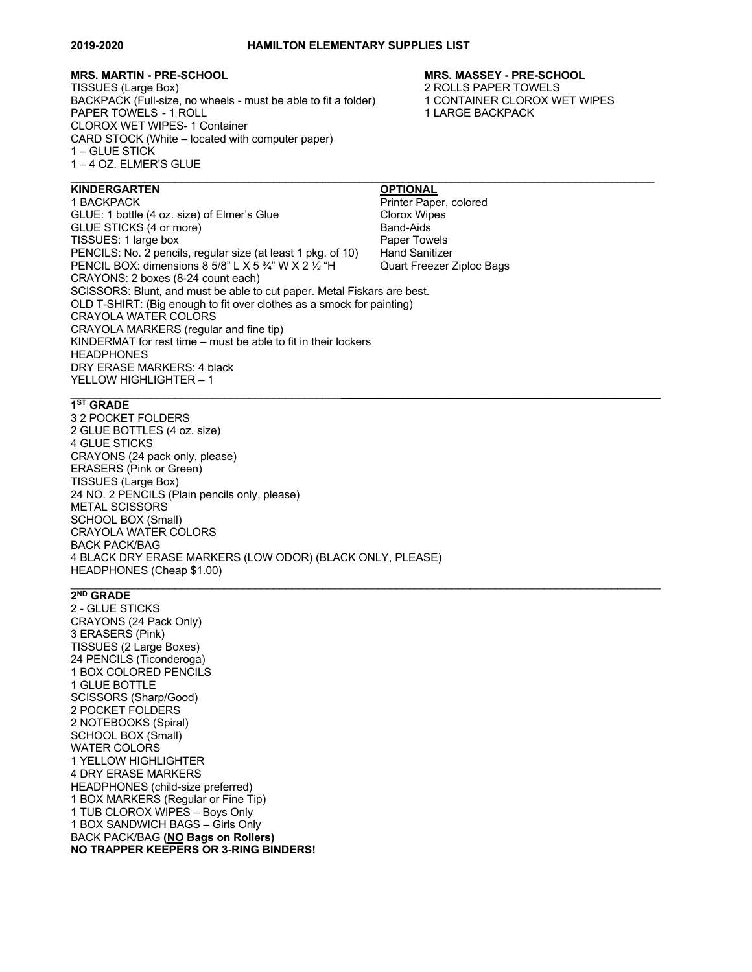# **MRS. MARTIN - PRE-SCHOOL MRS. MASSEY - PRE-SCHOOL**

TISSUES (Large Box)<br>BACKPACK (Full-size, no wheels - must be able to fit a folder) 2 ROLLS PAPER TOWELS BACKPACK (Full-size, no wheels - must be able to fit a folder) PAPER TOWELS - 1 ROLL 1 LARGE BACKPACK CLOROX WET WIPES- 1 Container CARD STOCK (White – located with computer paper) 1 – GLUE STICK 1 – 4 OZ. ELMER'S GLUE  $\mathcal{L}_\mathcal{L} = \{ \mathcal{L}_\mathcal{L} = \{ \mathcal{L}_\mathcal{L} = \{ \mathcal{L}_\mathcal{L} = \{ \mathcal{L}_\mathcal{L} = \{ \mathcal{L}_\mathcal{L} = \{ \mathcal{L}_\mathcal{L} = \{ \mathcal{L}_\mathcal{L} = \{ \mathcal{L}_\mathcal{L} = \{ \mathcal{L}_\mathcal{L} = \{ \mathcal{L}_\mathcal{L} = \{ \mathcal{L}_\mathcal{L} = \{ \mathcal{L}_\mathcal{L} = \{ \mathcal{L}_\mathcal{L} = \{ \mathcal{L}_\mathcal{$ 

# **KINDERGARTEN OPTIONAL**

1 BACKPACK<br>
GLUE: 1 bottle (4 oz. size) of Elmer's Glue<br>
Clorox Wipes GLUE: 1 bottle (4 oz. size) of Elmer's Glue GLUE STICKS (4 or more) Band-Aids TISSUES: 1 large box Paper Towels PENCILS: No. 2 pencils, regular size (at least 1 pkg, of 10) Hand Sanitizer PENCIL BOX: dimensions 8 5/8" L X 5 <sup>3</sup>/4" W X 2 <sup>1/2</sup> "H Quart Freezer Ziploc Bags CRAYONS: 2 boxes (8-24 count each) SCISSORS: Blunt, and must be able to cut paper. Metal Fiskars are best. OLD T-SHIRT: (Big enough to fit over clothes as a smock for painting) CRAYOLA WATER COLORS CRAYOLA MARKERS (regular and fine tip) KINDERMAT for rest time – must be able to fit in their lockers **HEADPHONES** DRY ERASE MARKERS: 4 black YELLOW HIGHLIGHTER – 1

### $\mathcal{L}_\mathcal{L} = \{ \mathcal{L}_\mathcal{L} = \{ \mathcal{L}_\mathcal{L} = \{ \mathcal{L}_\mathcal{L} = \{ \mathcal{L}_\mathcal{L} = \{ \mathcal{L}_\mathcal{L} = \{ \mathcal{L}_\mathcal{L} = \{ \mathcal{L}_\mathcal{L} = \{ \mathcal{L}_\mathcal{L} = \{ \mathcal{L}_\mathcal{L} = \{ \mathcal{L}_\mathcal{L} = \{ \mathcal{L}_\mathcal{L} = \{ \mathcal{L}_\mathcal{L} = \{ \mathcal{L}_\mathcal{L} = \{ \mathcal{L}_\mathcal{$ **1ST GRADE**

3 2 POCKET FOLDERS 2 GLUE BOTTLES (4 oz. size) 4 GLUE STICKS CRAYONS (24 pack only, please) ERASERS (Pink or Green) TISSUES (Large Box) 24 NO. 2 PENCILS (Plain pencils only, please) METAL SCISSORS SCHOOL BOX (Small) CRAYOLA WATER COLORS BACK PACK/BAG 4 BLACK DRY ERASE MARKERS (LOW ODOR) (BLACK ONLY, PLEASE) HEADPHONES (Cheap \$1.00)  $\mathcal{L}_\mathcal{L} = \{ \mathcal{L}_\mathcal{L} = \{ \mathcal{L}_\mathcal{L} = \{ \mathcal{L}_\mathcal{L} = \{ \mathcal{L}_\mathcal{L} = \{ \mathcal{L}_\mathcal{L} = \{ \mathcal{L}_\mathcal{L} = \{ \mathcal{L}_\mathcal{L} = \{ \mathcal{L}_\mathcal{L} = \{ \mathcal{L}_\mathcal{L} = \{ \mathcal{L}_\mathcal{L} = \{ \mathcal{L}_\mathcal{L} = \{ \mathcal{L}_\mathcal{L} = \{ \mathcal{L}_\mathcal{L} = \{ \mathcal{L}_\mathcal{$ 

## **2ND GRADE**

2 - GLUE STICKS CRAYONS (24 Pack Only) 3 ERASERS (Pink) TISSUES (2 Large Boxes) 24 PENCILS (Ticonderoga) 1 BOX COLORED PENCILS 1 GLUE BOTTLE SCISSORS (Sharp/Good) 2 POCKET FOLDERS 2 NOTEBOOKS (Spiral) SCHOOL BOX (Small) WATER COLORS 1 YELLOW HIGHLIGHTER 4 DRY ERASE MARKERS HEADPHONES (child-size preferred) 1 BOX MARKERS (Regular or Fine Tip) 1 TUB CLOROX WIPES – Boys Only 1 BOX SANDWICH BAGS – Girls Only BACK PACK/BAG **(NO Bags on Rollers) NO TRAPPER KEEPERS OR 3-RING BINDERS!**